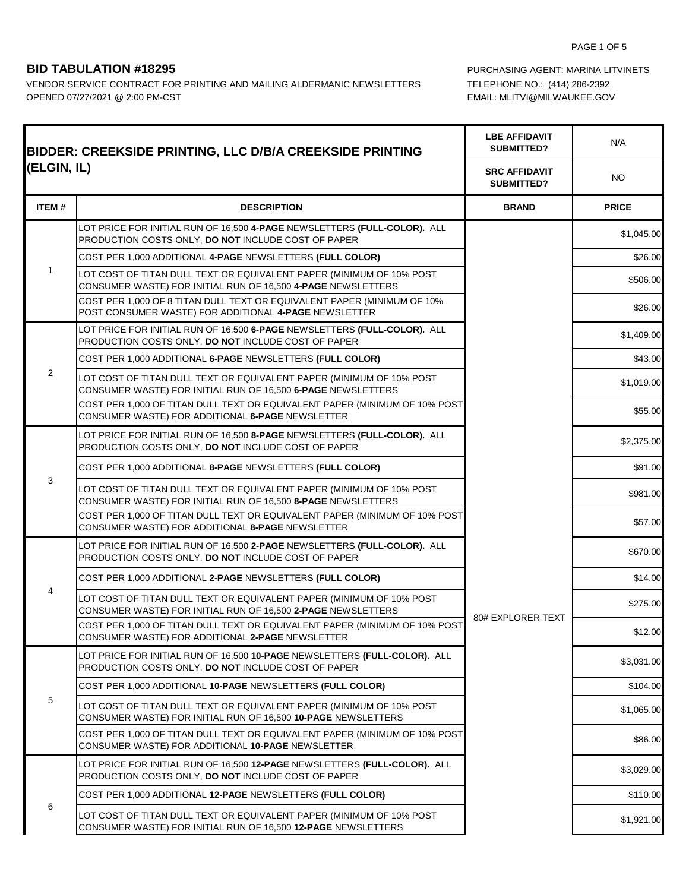۷

F

VENDOR SERVICE CONTRACT FOR PRINTING AND MAILING ALDERMANIC NEWSLETTERS TELEPHONE NO.: (414) 286-2392 OPENED 07/27/2021 @ 2:00 PM-CST CONSULT AND THE MAIL: MUSIC MEMAIL: MLITVI@MILWAUKEE.GOV

**BID TABULATION #18295 PURCHASING AGENT: MARINA LITVINETS** 

┯

| <b>BIDDER: CREEKSIDE PRINTING, LLC D/B/A CREEKSIDE PRINTING</b> |                                                                                                                                                | <b>LBE AFFIDAVIT</b><br>SUBMITTED? | N/A          |
|-----------------------------------------------------------------|------------------------------------------------------------------------------------------------------------------------------------------------|------------------------------------|--------------|
|                                                                 | (ELGIN, IL)                                                                                                                                    |                                    | <b>NO</b>    |
| <b>ITEM#</b>                                                    | <b>DESCRIPTION</b>                                                                                                                             | <b>BRAND</b>                       | <b>PRICE</b> |
|                                                                 | LOT PRICE FOR INITIAL RUN OF 16,500 4-PAGE NEWSLETTERS (FULL-COLOR). ALL<br>PRODUCTION COSTS ONLY, DO NOT INCLUDE COST OF PAPER                |                                    | \$1,045.00   |
|                                                                 | COST PER 1,000 ADDITIONAL 4-PAGE NEWSLETTERS (FULL COLOR)                                                                                      |                                    | \$26.00      |
|                                                                 | LOT COST OF TITAN DULL TEXT OR EQUIVALENT PAPER (MINIMUM OF 10% POST<br>CONSUMER WASTE) FOR INITIAL RUN OF 16,500 4-PAGE NEWSLETTERS           |                                    | \$506.00     |
|                                                                 | COST PER 1,000 OF 8 TITAN DULL TEXT OR EQUIVALENT PAPER (MINIMUM OF 10%<br>POST CONSUMER WASTE) FOR ADDITIONAL 4-PAGE NEWSLETTER               |                                    | \$26.00      |
|                                                                 | LOT PRICE FOR INITIAL RUN OF 16,500 6-PAGE NEWSLETTERS (FULL-COLOR). ALL<br>PRODUCTION COSTS ONLY, DO NOT INCLUDE COST OF PAPER                |                                    | \$1,409.00   |
|                                                                 | COST PER 1,000 ADDITIONAL 6-PAGE NEWSLETTERS (FULL COLOR)                                                                                      |                                    | \$43.00      |
| $\overline{2}$                                                  | LOT COST OF TITAN DULL TEXT OR EQUIVALENT PAPER (MINIMUM OF 10% POST<br>CONSUMER WASTE) FOR INITIAL RUN OF 16,500 6-PAGE NEWSLETTERS           |                                    | \$1,019.00   |
|                                                                 | COST PER 1,000 OF TITAN DULL TEXT OR EQUIVALENT PAPER (MINIMUM OF 10% POST<br>CONSUMER WASTE) FOR ADDITIONAL 6-PAGE NEWSLETTER                 |                                    | \$55.00      |
|                                                                 | LOT PRICE FOR INITIAL RUN OF 16,500 <b>8-PAGE</b> NEWSLETTERS <b>(FULL-COLOR).</b> ALL<br>PRODUCTION COSTS ONLY, DO NOT INCLUDE COST OF PAPER  |                                    | \$2,375.00   |
| 3                                                               | COST PER 1,000 ADDITIONAL 8-PAGE NEWSLETTERS (FULL COLOR)                                                                                      |                                    | \$91.00      |
|                                                                 | LOT COST OF TITAN DULL TEXT OR EQUIVALENT PAPER (MINIMUM OF 10% POST<br>CONSUMER WASTE) FOR INITIAL RUN OF 16,500 8-PAGE NEWSLETTERS           |                                    | \$981.00     |
|                                                                 | COST PER 1,000 OF TITAN DULL TEXT OR EQUIVALENT PAPER (MINIMUM OF 10% POST<br>CONSUMER WASTE) FOR ADDITIONAL 8-PAGE NEWSLETTER                 |                                    | \$57.00      |
|                                                                 | LOT PRICE FOR INITIAL RUN OF 16,500 2-PAGE NEWSLETTERS (FULL-COLOR). ALL<br>PRODUCTION COSTS ONLY, DO NOT INCLUDE COST OF PAPER                |                                    | \$670.00     |
| 4                                                               | COST PER 1,000 ADDITIONAL 2-PAGE NEWSLETTERS (FULL COLOR)                                                                                      | 80# EXPLORER TEXT                  | \$14.00      |
|                                                                 | LOT COST OF TITAN DULL TEXT OR EQUIVALENT PAPER (MINIMUM OF 10% POST<br>CONSUMER WASTE) FOR INITIAL RUN OF 16,500 2-PAGE NEWSLETTERS           |                                    | \$275.00     |
|                                                                 | COST PER 1,000 OF TITAN DULL TEXT OR EQUIVALENT PAPER (MINIMUM OF 10% POST<br>CONSUMER WASTE) FOR ADDITIONAL 2-PAGE NEWSLETTER                 |                                    | \$12.00      |
|                                                                 | LOT PRICE FOR INITIAL RUN OF 16,500 <b>10-PAGE</b> NEWSLETTERS <b>(FULL-COLOR).</b> ALL<br>PRODUCTION COSTS ONLY, DO NOT INCLUDE COST OF PAPER |                                    | \$3,031.00   |
|                                                                 | COST PER 1,000 ADDITIONAL 10-PAGE NEWSLETTERS (FULL COLOR)                                                                                     |                                    | \$104.00     |
| 5                                                               | LOT COST OF TITAN DULL TEXT OR EQUIVALENT PAPER (MINIMUM OF 10% POST<br>CONSUMER WASTE) FOR INITIAL RUN OF 16,500 10-PAGE NEWSLETTERS          |                                    | \$1,065.00   |
|                                                                 | COST PER 1,000 OF TITAN DULL TEXT OR EQUIVALENT PAPER (MINIMUM OF 10% POST<br>CONSUMER WASTE) FOR ADDITIONAL 10-PAGE NEWSLETTER                |                                    | \$86.00      |
| 6                                                               | LOT PRICE FOR INITIAL RUN OF 16,500 12-PAGE NEWSLETTERS (FULL-COLOR). ALL<br>PRODUCTION COSTS ONLY, DO NOT INCLUDE COST OF PAPER               |                                    | \$3,029.00   |
|                                                                 | COST PER 1,000 ADDITIONAL 12-PAGE NEWSLETTERS (FULL COLOR)                                                                                     |                                    | \$110.00     |
|                                                                 | LOT COST OF TITAN DULL TEXT OR EQUIVALENT PAPER (MINIMUM OF 10% POST<br>CONSUMER WASTE) FOR INITIAL RUN OF 16,500 12-PAGE NEWSLETTERS          |                                    | \$1,921.00   |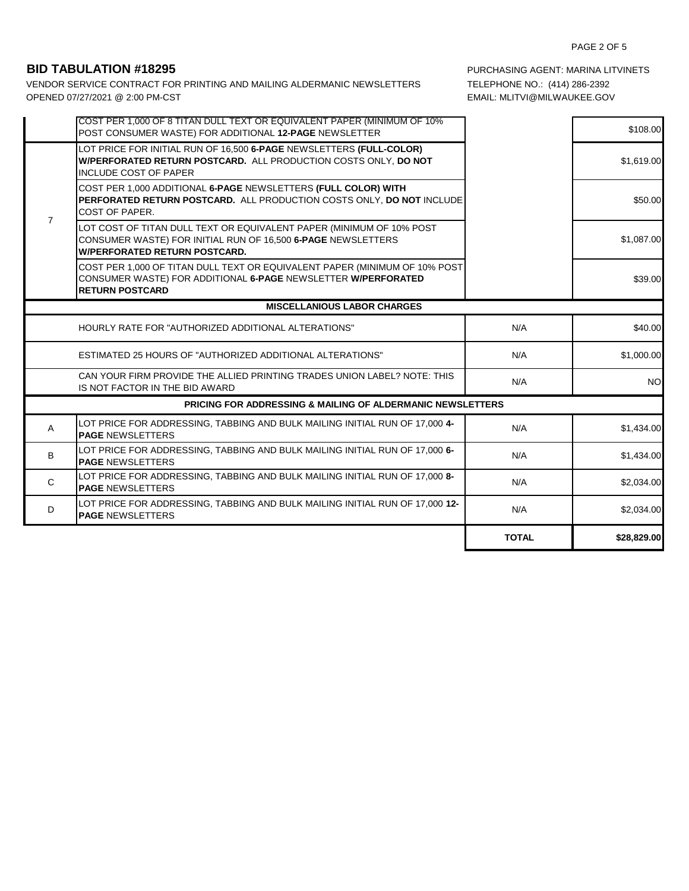VENDOR SERVICE CONTRACT FOR PRINTING AND MAILING ALDERMANIC NEWSLETTERS TELEPHONE NO.: (414) 286-2392 6 OPENED 07/27/2021 @ 2:00 PM-CST EMAIL: MLITVI@MILWAUKEE.GOV

**BID TABULATION #18295 PURCHASING AGENT: MARINA LITVINETS** 

|                | COST PER 1,000 OF 8 TITAN DULL TEXT OR EQUIVALENT PAPER (MINIMUM OF 10%<br>POST CONSUMER WASTE) FOR ADDITIONAL 12-PAGE NEWSLETTER                                            |              | \$108.00    |
|----------------|------------------------------------------------------------------------------------------------------------------------------------------------------------------------------|--------------|-------------|
| $\overline{7}$ | LOT PRICE FOR INITIAL RUN OF 16,500 6-PAGE NEWSLETTERS (FULL-COLOR)<br>W/PERFORATED RETURN POSTCARD. ALL PRODUCTION COSTS ONLY, DO NOT<br><b>INCLUDE COST OF PAPER</b>       |              | \$1,619.00  |
|                | COST PER 1,000 ADDITIONAL 6-PAGE NEWSLETTERS (FULL COLOR) WITH<br><b>PERFORATED RETURN POSTCARD.</b> ALL PRODUCTION COSTS ONLY. DO NOT INCLUDE<br>COST OF PAPER.             |              | \$50.00     |
|                | LOT COST OF TITAN DULL TEXT OR EQUIVALENT PAPER (MINIMUM OF 10% POST<br>CONSUMER WASTE) FOR INITIAL RUN OF 16,500 6-PAGE NEWSLETTERS<br><b>W/PERFORATED RETURN POSTCARD.</b> |              | \$1,087.00  |
|                | COST PER 1,000 OF TITAN DULL TEXT OR EQUIVALENT PAPER (MINIMUM OF 10% POST<br>CONSUMER WASTE) FOR ADDITIONAL 6-PAGE NEWSLETTER W/PERFORATED<br><b>RETURN POSTCARD</b>        |              | \$39.00     |
|                | <b>MISCELLANIOUS LABOR CHARGES</b>                                                                                                                                           |              |             |
|                | HOURLY RATE FOR "AUTHORIZED ADDITIONAL ALTERATIONS"                                                                                                                          | N/A          | \$40.00     |
|                | <b>ESTIMATED 25 HOURS OF "AUTHORIZED ADDITIONAL ALTERATIONS"</b>                                                                                                             | N/A          | \$1,000.00  |
|                | CAN YOUR FIRM PROVIDE THE ALLIED PRINTING TRADES UNION LABEL? NOTE: THIS<br>IS NOT FACTOR IN THE BID AWARD                                                                   | N/A          | <b>NO</b>   |
|                | <b>PRICING FOR ADDRESSING &amp; MAILING OF ALDERMANIC NEWSLETTERS</b>                                                                                                        |              |             |
| A              | LOT PRICE FOR ADDRESSING, TABBING AND BULK MAILING INITIAL RUN OF 17,000 4-<br><b>PAGE NEWSLETTERS</b>                                                                       | N/A          | \$1,434.00  |
| B              | LOT PRICE FOR ADDRESSING, TABBING AND BULK MAILING INITIAL RUN OF 17,000 6-<br><b>PAGE NEWSLETTERS</b>                                                                       | N/A          | \$1,434.00  |
| C              | LOT PRICE FOR ADDRESSING, TABBING AND BULK MAILING INITIAL RUN OF 17,000 8-<br><b>PAGE NEWSLETTERS</b>                                                                       | N/A          | \$2,034.00  |
| D              | LOT PRICE FOR ADDRESSING, TABBING AND BULK MAILING INITIAL RUN OF 17,000 12-<br><b>PAGE NEWSLETTERS</b>                                                                      | N/A          | \$2,034.00  |
|                |                                                                                                                                                                              | <b>TOTAL</b> | \$28,829.00 |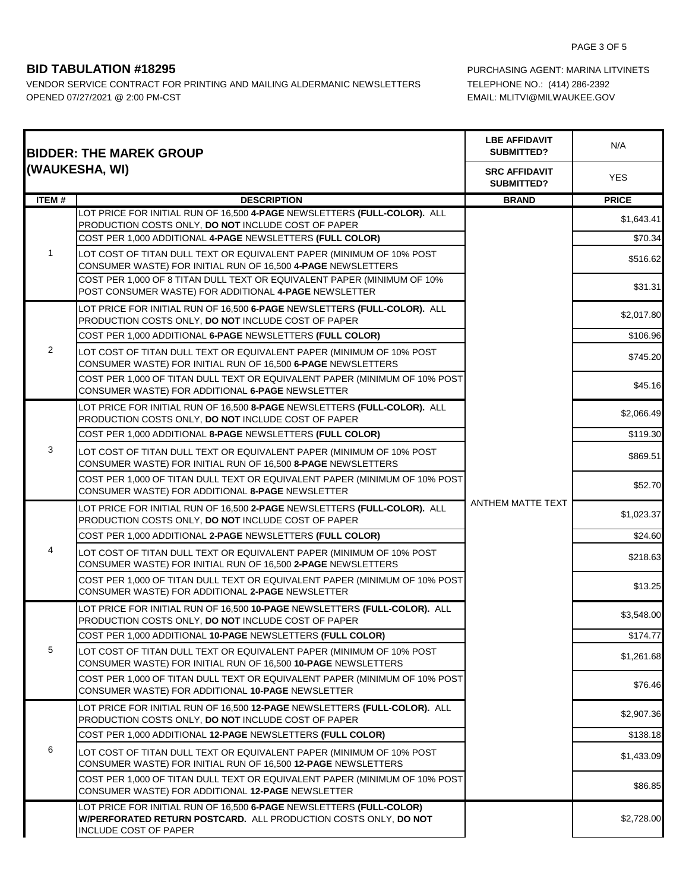VENDOR SERVICE CONTRACT FOR PRINTING AND MAILING ALDERMANIC NEWSLETTERS TELEPHONE NO.: (414) 286-2392 OPENED 07/27/2021 @ 2:00 PM-CST CONSULT AND THE MAIL: MUSIC MEMAIL: MLITVI@MILWAUKEE.GOV

**BID TABULATION #18295 PURCHASING AGENT: MARINA LITVINETS** 

| <b>BIDDER: THE MAREK GROUP</b><br>(WAUKESHA, WI) |                                                                                                                                                                 | <b>LBE AFFIDAVIT</b><br><b>SUBMITTED?</b> | N/A          |
|--------------------------------------------------|-----------------------------------------------------------------------------------------------------------------------------------------------------------------|-------------------------------------------|--------------|
|                                                  |                                                                                                                                                                 | <b>SRC AFFIDAVIT</b><br><b>SUBMITTED?</b> | <b>YES</b>   |
| <b>ITEM#</b>                                     | <b>DESCRIPTION</b>                                                                                                                                              | <b>BRAND</b>                              | <b>PRICE</b> |
|                                                  | LOT PRICE FOR INITIAL RUN OF 16,500 4-PAGE NEWSLETTERS (FULL-COLOR). ALL<br>PRODUCTION COSTS ONLY, DO NOT INCLUDE COST OF PAPER                                 |                                           | \$1,643.41   |
| 1                                                | COST PER 1,000 ADDITIONAL 4-PAGE NEWSLETTERS (FULL COLOR)                                                                                                       |                                           | \$70.34      |
|                                                  | LOT COST OF TITAN DULL TEXT OR EQUIVALENT PAPER (MINIMUM OF 10% POST<br>CONSUMER WASTE) FOR INITIAL RUN OF 16,500 4-PAGE NEWSLETTERS                            |                                           | \$516.62     |
|                                                  | COST PER 1.000 OF 8 TITAN DULL TEXT OR EQUIVALENT PAPER (MINIMUM OF 10%)<br>POST CONSUMER WASTE) FOR ADDITIONAL 4-PAGE NEWSLETTER                               |                                           | \$31.31      |
|                                                  | LOT PRICE FOR INITIAL RUN OF 16,500 6-PAGE NEWSLETTERS (FULL-COLOR). ALL<br>PRODUCTION COSTS ONLY, DO NOT INCLUDE COST OF PAPER                                 |                                           | \$2,017.80   |
|                                                  | COST PER 1,000 ADDITIONAL 6-PAGE NEWSLETTERS (FULL COLOR)                                                                                                       |                                           | \$106.96     |
| 2                                                | LOT COST OF TITAN DULL TEXT OR EQUIVALENT PAPER (MINIMUM OF 10% POST<br>CONSUMER WASTE) FOR INITIAL RUN OF 16,500 6-PAGE NEWSLETTERS                            |                                           | \$745.20     |
|                                                  | COST PER 1,000 OF TITAN DULL TEXT OR EQUIVALENT PAPER (MINIMUM OF 10% POST<br>CONSUMER WASTE) FOR ADDITIONAL 6-PAGE NEWSLETTER                                  |                                           | \$45.16      |
|                                                  | LOT PRICE FOR INITIAL RUN OF 16,500 8-PAGE NEWSLETTERS (FULL-COLOR). ALL<br>PRODUCTION COSTS ONLY, DO NOT INCLUDE COST OF PAPER                                 |                                           | \$2,066.49   |
|                                                  | COST PER 1,000 ADDITIONAL 8-PAGE NEWSLETTERS (FULL COLOR)                                                                                                       |                                           | \$119.30     |
| 3                                                | LOT COST OF TITAN DULL TEXT OR EQUIVALENT PAPER (MINIMUM OF 10% POST<br>CONSUMER WASTE) FOR INITIAL RUN OF 16,500 8-PAGE NEWSLETTERS                            | ANTHEM MATTE TEXT                         | \$869.51     |
|                                                  | COST PER 1,000 OF TITAN DULL TEXT OR EQUIVALENT PAPER (MINIMUM OF 10% POST<br>CONSUMER WASTE) FOR ADDITIONAL 8-PAGE NEWSLETTER                                  |                                           | \$52.70      |
|                                                  | LOT PRICE FOR INITIAL RUN OF 16,500 2-PAGE NEWSLETTERS (FULL-COLOR). ALL<br>PRODUCTION COSTS ONLY, DO NOT INCLUDE COST OF PAPER                                 |                                           | \$1,023.37   |
|                                                  | COST PER 1,000 ADDITIONAL 2-PAGE NEWSLETTERS (FULL COLOR)                                                                                                       |                                           | \$24.60      |
| 4                                                | LOT COST OF TITAN DULL TEXT OR EQUIVALENT PAPER (MINIMUM OF 10% POST<br>CONSUMER WASTE) FOR INITIAL RUN OF 16,500 2-PAGE NEWSLETTERS                            |                                           | \$218.63     |
|                                                  | COST PER 1,000 OF TITAN DULL TEXT OR EQUIVALENT PAPER (MINIMUM OF 10% POST<br>CONSUMER WASTE) FOR ADDITIONAL 2-PAGE NEWSLETTER                                  |                                           | \$13.25      |
|                                                  | LOT PRICE FOR INITIAL RUN OF 16,500 10-PAGE NEWSLETTERS (FULL-COLOR). ALL<br>PRODUCTION COSTS ONLY, DO NOT INCLUDE COST OF PAPER                                |                                           | \$3,548.00   |
|                                                  | COST PER 1,000 ADDITIONAL 10-PAGE NEWSLETTERS (FULL COLOR)                                                                                                      |                                           | \$174.77     |
| 5                                                | LOT COST OF TITAN DULL TEXT OR EQUIVALENT PAPER (MINIMUM OF 10% POST<br>CONSUMER WASTE) FOR INITIAL RUN OF 16,500 10-PAGE NEWSLETTERS                           |                                           | \$1.261.68   |
|                                                  | COST PER 1,000 OF TITAN DULL TEXT OR EQUIVALENT PAPER (MINIMUM OF 10% POST<br>CONSUMER WASTE) FOR ADDITIONAL 10-PAGE NEWSLETTER                                 |                                           | \$76.46      |
|                                                  | LOT PRICE FOR INITIAL RUN OF 16,500 12-PAGE NEWSLETTERS (FULL-COLOR). ALL<br><b>PRODUCTION COSTS ONLY, DO NOT INCLUDE COST OF PAPER</b>                         |                                           | \$2,907.36   |
|                                                  | COST PER 1,000 ADDITIONAL 12-PAGE NEWSLETTERS (FULL COLOR)                                                                                                      |                                           | \$138.18     |
| 6                                                | LOT COST OF TITAN DULL TEXT OR EQUIVALENT PAPER (MINIMUM OF 10% POST<br>CONSUMER WASTE) FOR INITIAL RUN OF 16,500 12-PAGE NEWSLETTERS                           |                                           | \$1,433.09   |
|                                                  | COST PER 1,000 OF TITAN DULL TEXT OR EQUIVALENT PAPER (MINIMUM OF 10% POST<br>CONSUMER WASTE) FOR ADDITIONAL 12-PAGE NEWSLETTER                                 |                                           | \$86.85      |
|                                                  | LOT PRICE FOR INITIAL RUN OF 16,500 6-PAGE NEWSLETTERS (FULL-COLOR)<br>W/PERFORATED RETURN POSTCARD. ALL PRODUCTION COSTS ONLY, DO NOT<br>INCLUDE COST OF PAPER |                                           | \$2,728.00   |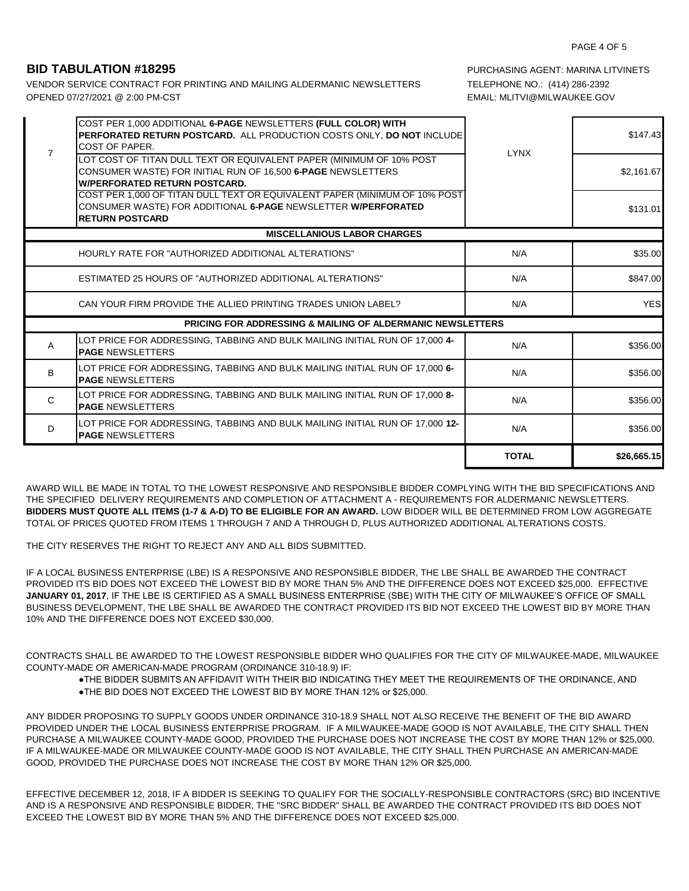VENDOR SERVICE CONTRACT FOR PRINTING AND MAILING ALDERMANIC NEWSLETTERS TELEPHONE NO.: (414) 286-2392 OPENED 07/27/2021 @ 2:00 PM-CST EMAIL: MLITVI@MILWAUKEE.GOV

**BID TABULATION #18295** PURCHASING AGENT: MARINA LITVINETS

| $\overline{7}$ | COST PER 1,000 ADDITIONAL <b>6-PAGE</b> NEWSLETTERS (FULL COLOR) WITH<br>PERFORATED RETURN POSTCARD. ALL PRODUCTION COSTS ONLY, DO NOT INCLUDE<br><b>COST OF PAPER.</b>      | <b>LYNX</b>  | \$147.43    |
|----------------|------------------------------------------------------------------------------------------------------------------------------------------------------------------------------|--------------|-------------|
|                | LOT COST OF TITAN DULL TEXT OR EQUIVALENT PAPER (MINIMUM OF 10% POST<br>CONSUMER WASTE) FOR INITIAL RUN OF 16,500 6-PAGE NEWSLETTERS<br><b>W/PERFORATED RETURN POSTCARD.</b> |              | \$2,161.67  |
|                | COST PER 1,000 OF TITAN DULL TEXT OR EQUIVALENT PAPER (MINIMUM OF 10% POST<br>CONSUMER WASTE) FOR ADDITIONAL 6-PAGE NEWSLETTER W/PERFORATED<br><b>RETURN POSTCARD</b>        |              | \$131.01    |
|                | <b>MISCELLANIOUS LABOR CHARGES</b>                                                                                                                                           |              |             |
|                | HOURLY RATE FOR "AUTHORIZED ADDITIONAL ALTERATIONS"                                                                                                                          | N/A          | \$35.00     |
|                | <b>ESTIMATED 25 HOURS OF "AUTHORIZED ADDITIONAL ALTERATIONS"</b>                                                                                                             | N/A          | \$847.00    |
|                | CAN YOUR FIRM PROVIDE THE ALLIED PRINTING TRADES UNION LABEL?                                                                                                                | N/A          | <b>YES</b>  |
|                | <b>PRICING FOR ADDRESSING &amp; MAILING OF ALDERMANIC NEWSLETTERS</b>                                                                                                        |              |             |
| A              | LOT PRICE FOR ADDRESSING, TABBING AND BULK MAILING INITIAL RUN OF 17,000 4-<br><b>PAGE NEWSLETTERS</b>                                                                       | N/A          | \$356.00    |
| B              | LOT PRICE FOR ADDRESSING, TABBING AND BULK MAILING INITIAL RUN OF 17,000 6-<br><b>PAGE NEWSLETTERS</b>                                                                       | N/A          | \$356.00    |
| $\mathsf{C}$   | LOT PRICE FOR ADDRESSING, TABBING AND BULK MAILING INITIAL RUN OF 17,000 8-<br><b>PAGE NEWSLETTERS</b>                                                                       | N/A          | \$356.00    |
| D              | LOT PRICE FOR ADDRESSING, TABBING AND BULK MAILING INITIAL RUN OF 17,000 12-<br><b>PAGE NEWSLETTERS</b>                                                                      | N/A          | \$356.00    |
|                |                                                                                                                                                                              | <b>TOTAL</b> | \$26,665.15 |

AWARD WILL BE MADE IN TOTAL TO THE LOWEST RESPONSIVE AND RESPONSIBLE BIDDER COMPLYING WITH THE BID SPECIFICATIONS AND THE SPECIFIED DELIVERY REQUIREMENTS AND COMPLETION OF ATTACHMENT A - REQUIREMENTS FOR ALDERMANIC NEWSLETTERS. **BIDDERS MUST QUOTE ALL ITEMS (1-7 & A-D) TO BE ELIGIBLE FOR AN AWARD.** LOW BIDDER WILL BE DETERMINED FROM LOW AGGREGATE TOTAL OF PRICES QUOTED FROM ITEMS 1 THROUGH 7 AND A THROUGH D, PLUS AUTHORIZED ADDITIONAL ALTERATIONS COSTS.

THE CITY RESERVES THE RIGHT TO REJECT ANY AND ALL BIDS SUBMITTED.

IF A LOCAL BUSINESS ENTERPRISE (LBE) IS A RESPONSIVE AND RESPONSIBLE BIDDER, THE LBE SHALL BE AWARDED THE CONTRACT PROVIDED ITS BID DOES NOT EXCEED THE LOWEST BID BY MORE THAN 5% AND THE DIFFERENCE DOES NOT EXCEED \$25,000. EFFECTIVE **JANUARY 01, 2017**, IF THE LBE IS CERTIFIED AS A SMALL BUSINESS ENTERPRISE (SBE) WITH THE CITY OF MILWAUKEE'S OFFICE OF SMALL BUSINESS DEVELOPMENT, THE LBE SHALL BE AWARDED THE CONTRACT PROVIDED ITS BID NOT EXCEED THE LOWEST BID BY MORE THAN 10% AND THE DIFFERENCE DOES NOT EXCEED \$30,000.

CONTRACTS SHALL BE AWARDED TO THE LOWEST RESPONSIBLE BIDDER WHO QUALIFIES FOR THE CITY OF MILWAUKEE-MADE, MILWAUKEE COUNTY-MADE OR AMERICAN-MADE PROGRAM (ORDINANCE 310-18.9) IF:

- ●THE BIDDER SUBMITS AN AFFIDAVIT WITH THEIR BID INDICATING THEY MEET THE REQUIREMENTS OF THE ORDINANCE, AND
- ●THE BID DOES NOT EXCEED THE LOWEST BID BY MORE THAN 12% or \$25,000.

ANY BIDDER PROPOSING TO SUPPLY GOODS UNDER ORDINANCE 310-18.9 SHALL NOT ALSO RECEIVE THE BENEFIT OF THE BID AWARD PROVIDED UNDER THE LOCAL BUSINESS ENTERPRISE PROGRAM. IF A MILWAUKEE-MADE GOOD IS NOT AVAILABLE, THE CITY SHALL THEN PURCHASE A MILWAUKEE COUNTY-MADE GOOD, PROVIDED THE PURCHASE DOES NOT INCREASE THE COST BY MORE THAN 12% or \$25,000. IF A MILWAUKEE-MADE OR MILWAUKEE COUNTY-MADE GOOD IS NOT AVAILABLE, THE CITY SHALL THEN PURCHASE AN AMERICAN-MADE GOOD, PROVIDED THE PURCHASE DOES NOT INCREASE THE COST BY MORE THAN 12% OR \$25,000.

EFFECTIVE DECEMBER 12, 2018, IF A BIDDER IS SEEKING TO QUALIFY FOR THE SOCIALLY-RESPONSIBLE CONTRACTORS (SRC) BID INCENTIVE AND IS A RESPONSIVE AND RESPONSIBLE BIDDER, THE "SRC BIDDER" SHALL BE AWARDED THE CONTRACT PROVIDED ITS BID DOES NOT EXCEED THE LOWEST BID BY MORE THAN 5% AND THE DIFFERENCE DOES NOT EXCEED \$25,000.